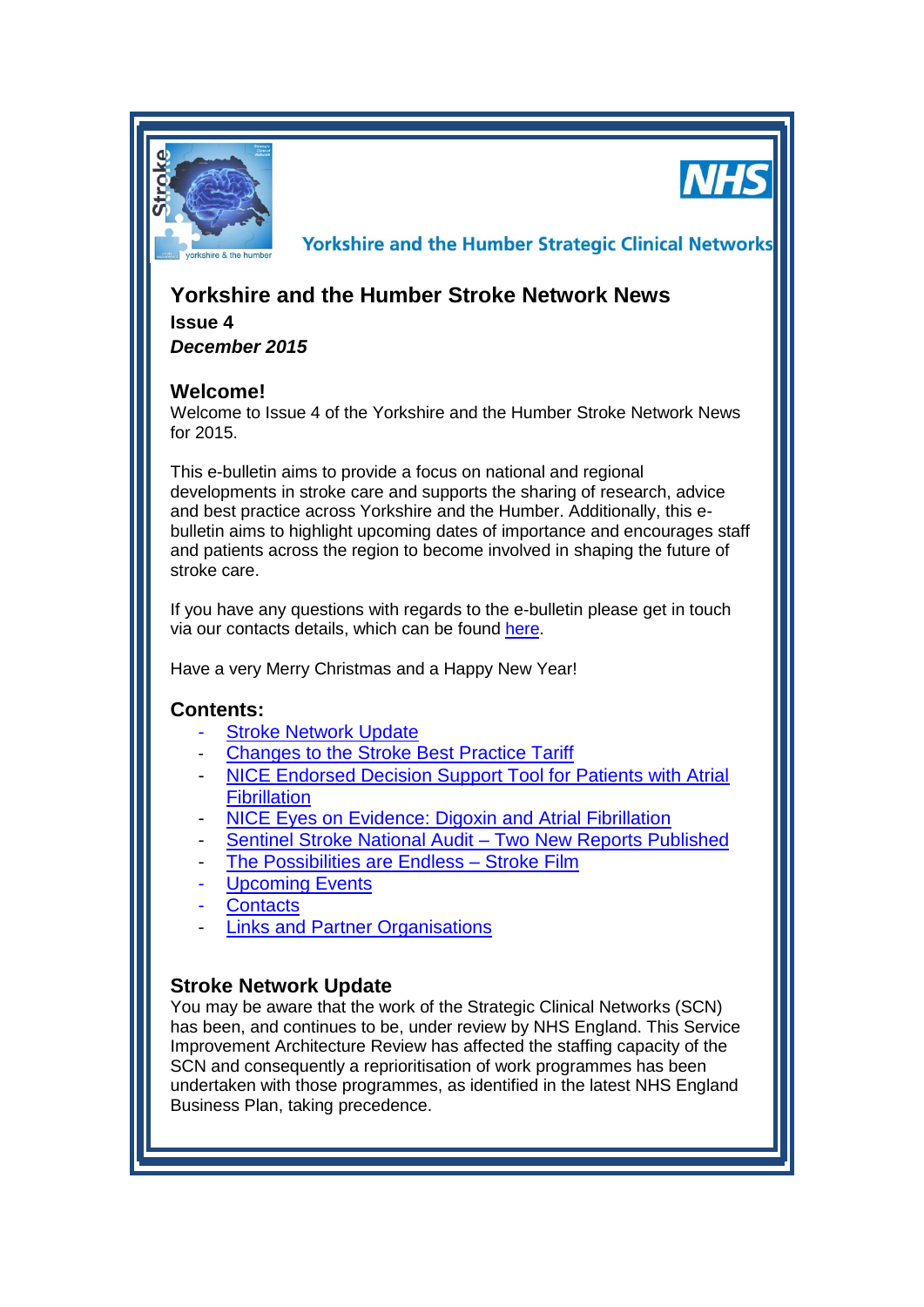

**NHS** 

**Yorkshire and the Humber Strategic Clinical Networks** 

# **Yorkshire and the Humber Stroke Network News**

**Issue 4** *December 2015*

# **Welcome!**

Welcome to Issue 4 of the Yorkshire and the Humber Stroke Network News for 2015.

This e-bulletin aims to provide a focus on national and regional developments in stroke care and supports the sharing of research, advice and best practice across Yorkshire and the Humber. Additionally, this ebulletin aims to highlight upcoming dates of importance and encourages staff and patients across the region to become involved in shaping the future of stroke care.

If you have any questions with regards to the e-bulletin please get in touch via our contacts details, which can be found [here.](#page-3-0)

Have a very Merry Christmas and a Happy New Year!

### **Contents:**

- **[Stroke Network Update](#page-0-0)**
- [Changes to the Stroke Best Practice Tariff](#page-1-0)
- **NICE Endorsed Decision Support Tool for Patients with Atrial [Fibrillation](#page-1-1)**
- NICE Eves on Evidence: Digoxin and Atrial Fibrillation
- [Sentinel Stroke National Audit –](#page-1-3) Two New Reports Published
- The Possibilities are Endless Stroke Film
- [Upcoming Events](#page-1-0)
- **[Contacts](#page-3-0)**
- [Links and Partner Organisations](#page-3-1)

# <span id="page-0-0"></span>**Stroke Network Update**

You may be aware that the work of the Strategic Clinical Networks (SCN) has been, and continues to be, under review by NHS England. This Service Improvement Architecture Review has affected the staffing capacity of the SCN and consequently a reprioritisation of work programmes has been undertaken with those programmes, as identified in the latest NHS England Business Plan, taking precedence.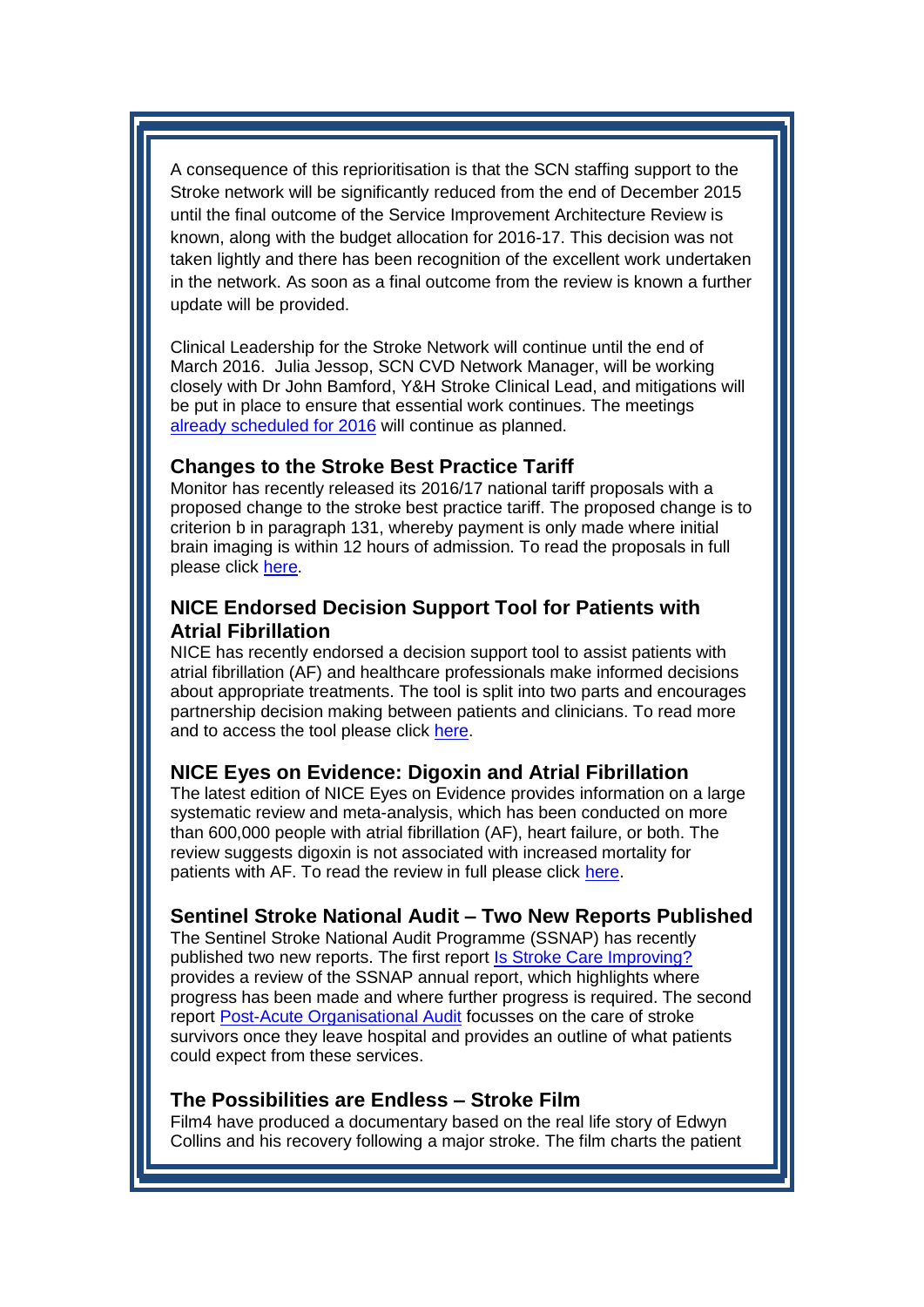A consequence of this reprioritisation is that the SCN staffing support to the Stroke network will be significantly reduced from the end of December 2015 until the final outcome of the Service Improvement Architecture Review is known, along with the budget allocation for 2016-17. This decision was not taken lightly and there has been recognition of the excellent work undertaken in the network. As soon as a final outcome from the review is known a further update will be provided.

Clinical Leadership for the Stroke Network will continue until the end of March 2016. Julia Jessop, SCN CVD Network Manager, will be working closely with Dr John Bamford, Y&H Stroke Clinical Lead, and mitigations will be put in place to ensure that essential work continues. The meetings [already scheduled for 2016](#page-1-0) will continue as planned.

### <span id="page-1-0"></span>**Changes to the Stroke Best Practice Tariff**

Monitor has recently released its 2016/17 national tariff proposals with a proposed change to the stroke best practice tariff. The proposed change is to criterion b in paragraph 131, whereby payment is only made where initial brain imaging is within 12 hours of admission. To read the proposals in full please click [here.](https://www.gov.uk/government/uploads/system/uploads/attachment_data/file/453397/Currency_design_and_relative_prices_final.pdf)

## <span id="page-1-1"></span>**NICE Endorsed Decision Support Tool for Patients with Atrial Fibrillation**

NICE has recently endorsed a decision support tool to assist patients with atrial fibrillation (AF) and healthcare professionals make informed decisions about appropriate treatments. The tool is split into two parts and encourages partnership decision making between patients and clinicians. To read more and to access the tool please click [here.](http://www.nice.org.uk/news/article/helping-people-with-af-make-informed-choices-about-their-treatment)

### <span id="page-1-2"></span>**NICE Eyes on Evidence: Digoxin and Atrial Fibrillation**

The latest edition of NICE Eyes on Evidence provides information on a large systematic review and meta-analysis, which has been conducted on more than 600,000 people with atrial fibrillation (AF), heart failure, or both. The review suggests digoxin is not associated with increased mortality for patients with AF. To read the review in full please click [here.](https://www.evidence.nhs.uk/document?ci=http%3a%2f%2fwww.medicinesresources.nhs.uk%2fGetDocument.aspx%3fpageId%3d801975%3ffromsource%3dnelm&returnUrl=Search%3fq%3dAtrial%2bfibrillation%2band%2bchronic%2bheart%2bfailure%2bdigoxin%2bincreased%2bmortality&q=Atrial+fibrillation+and+chronic+heart+failure+digoxin+increased+mortality)

### <span id="page-1-3"></span>**Sentinel Stroke National Audit – Two New Reports Published**

The Sentinel Stroke National Audit Programme (SSNAP) has recently published two new reports. The first report [Is Stroke Care Improving?](http://www.hqip.org.uk/resources/annual-ssnap-report-2015/) provides a review of the SSNAP annual report, which highlights where progress has been made and where further progress is required. The second report [Post-Acute Organisational Audit](http://www.hqip.org.uk/resources/ssnap-public-report-2015/) focusses on the care of stroke survivors once they leave hospital and provides an outline of what patients could expect from these services.

#### <span id="page-1-4"></span>**The Possibilities are Endless – Stroke Film**

Film4 have produced a documentary based on the real life story of Edwyn Collins and his recovery following a major stroke. The film charts the patient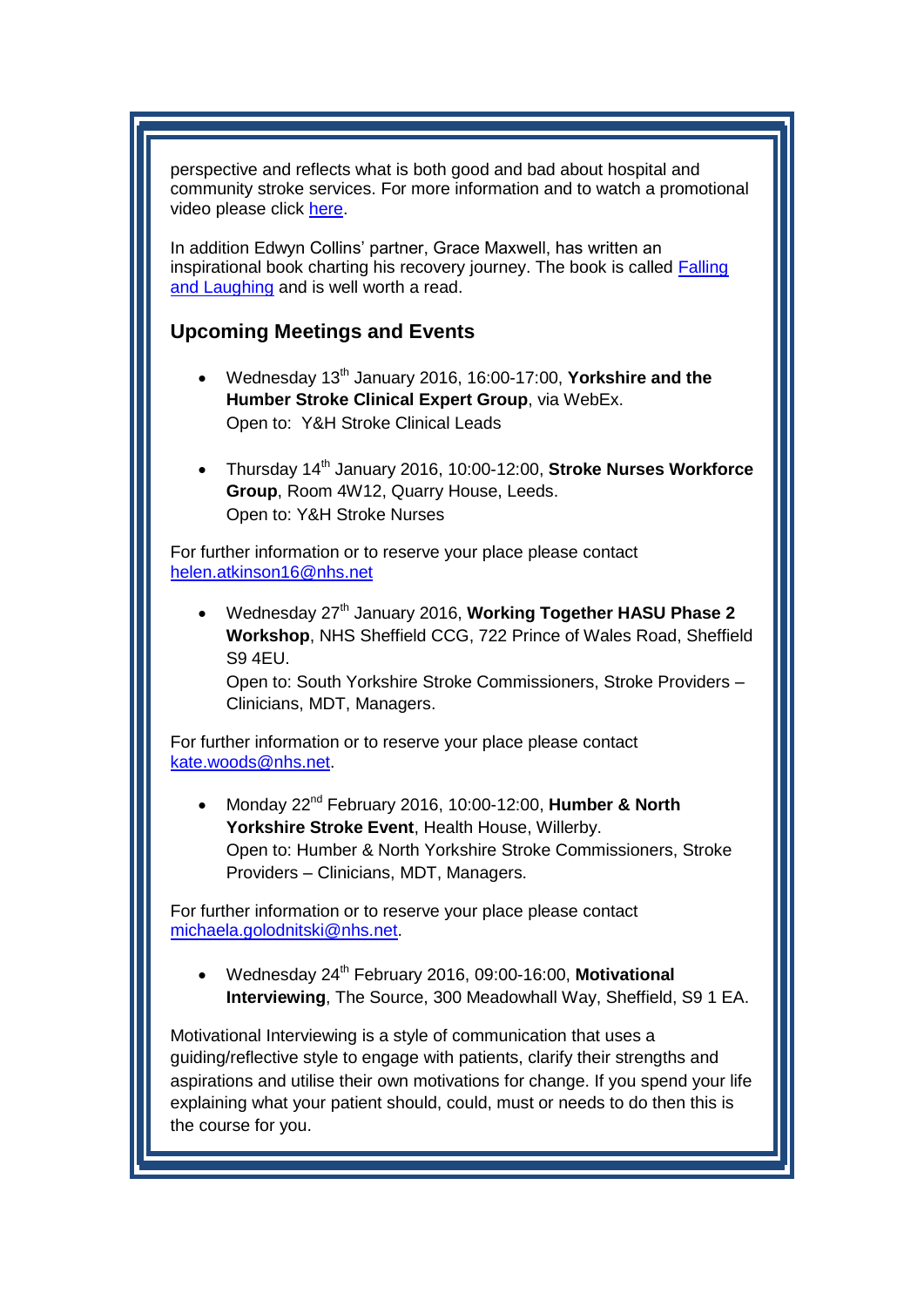perspective and reflects what is both good and bad about hospital and community stroke services. For more information and to watch a promotional video please click [here.](http://www.film4.com/whats-on/the-possibilities-are-endless-on-film4)

In addition Edwyn Collins' partner, Grace Maxwell, has written an inspirational book charting his recovery journey. The book is called [Falling](http://www.amazon.co.uk/Falling-Laughing-Restoration-Edwyn-Collins/dp/0091930006)  [and Laughing](http://www.amazon.co.uk/Falling-Laughing-Restoration-Edwyn-Collins/dp/0091930006) and is well worth a read.

# **Upcoming Meetings and Events**

- Wednesday 13th January 2016, 16:00-17:00, **Yorkshire and the Humber Stroke Clinical Expert Group**, via WebEx. Open to: Y&H Stroke Clinical Leads
- Thursday 14th January 2016, 10:00-12:00, **Stroke Nurses Workforce Group**, Room 4W12, Quarry House, Leeds. Open to: Y&H Stroke Nurses

For further information or to reserve your place please contact [helen.atkinson16@nhs.net](mailto:helen.atkinson16@nhs.net)

• Wednesday 27<sup>th</sup> January 2016, **Working Together HASU Phase 2 Workshop**, NHS Sheffield CCG, 722 Prince of Wales Road, Sheffield S9 4EU.

Open to: South Yorkshire Stroke Commissioners, Stroke Providers – Clinicians, MDT, Managers.

For further information or to reserve your place please contact [kate.woods@nhs.net.](mailto:kate.woods@nhs.net)

 Monday 22nd February 2016, 10:00-12:00, **Humber & North Yorkshire Stroke Event**, Health House, Willerby. Open to: Humber & North Yorkshire Stroke Commissioners, Stroke Providers – Clinicians, MDT, Managers.

For further information or to reserve your place please contact [michaela.golodnitski@nhs.net.](mailto:michaela.golodnitski@nhs.net)

 Wednesday 24th February 2016, 09:00-16:00, **Motivational Interviewing**, The Source, 300 Meadowhall Way, Sheffield, S9 1 EA.

Motivational Interviewing is a style of communication that uses a guiding/reflective style to engage with patients, clarify their strengths and aspirations and utilise their own motivations for change. If you spend your life explaining what your patient should, could, must or needs to do then this is the course for you.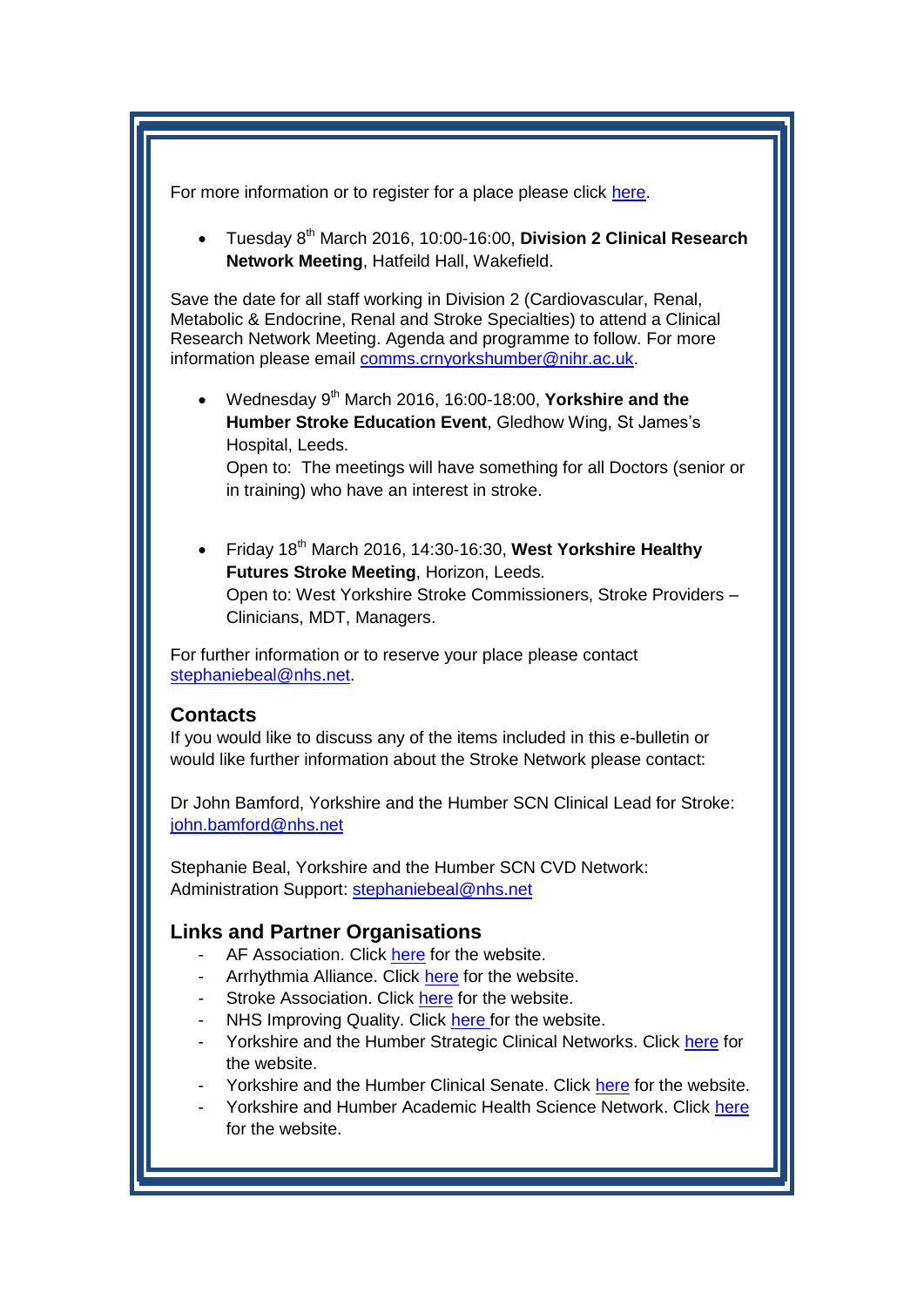For more information or to register for a place please click [here.](http://etaltraining.co.uk/events/bhf-alliance-motivational-interviewing-sheffield)

 Tuesday 8th March 2016, 10:00-16:00, **Division 2 Clinical Research Network Meeting**, Hatfeild Hall, Wakefield.

Save the date for all staff working in Division 2 (Cardiovascular, Renal, Metabolic & Endocrine, Renal and Stroke Specialties) to attend a Clinical Research Network Meeting. Agenda and programme to follow. For more information please email [comms.crnyorkshumber@nihr.ac.uk.](mailto:comms.crnyorkshumber@nihr.ac.uk)

 Wednesday 9th March 2016, 16:00-18:00, **Yorkshire and the Humber Stroke Education Event**, Gledhow Wing, St James's Hospital, Leeds.

Open to: The meetings will have something for all Doctors (senior or in training) who have an interest in stroke.

 Friday 18th March 2016, 14:30-16:30, **West Yorkshire Healthy Futures Stroke Meeting**, Horizon, Leeds. Open to: West Yorkshire Stroke Commissioners, Stroke Providers – Clinicians, MDT, Managers.

For further information or to reserve your place please contact [stephaniebeal@nhs.net.](mailto:stephaniebeal@nhs.net)

#### <span id="page-3-0"></span>**Contacts**

If you would like to discuss any of the items included in this e-bulletin or would like further information about the Stroke Network please contact:

Dr John Bamford, Yorkshire and the Humber SCN Clinical Lead for Stroke: [john.bamford@nhs.net](mailto:john.bamford@nhs.net)

Stephanie Beal, Yorkshire and the Humber SCN CVD Network: Administration Support: [stephaniebeal@nhs.net](mailto:stephaniebeal@nhs.net)

### <span id="page-3-1"></span>**Links and Partner Organisations**

- AF Association. Click [here](http://www.atrialfibrillation.org.uk/) for the website.
- Arrhythmia Alliance. Click [here](http://www.heartrhythmcharity.org.uk/www/76/0/Atrial_fibrillation/) for the website.
- Stroke Association. Click [here](https://www.stroke.org.uk/) for the website.
- NHS Improving Quality. Click [here f](http://www.nhsiq.nhs.uk/)or the website.
- Yorkshire and the Humber Strategic Clinical Networks. Click [here](http://www.yhscn.nhs.uk/index.php) for the website.
- Yorkshire and the Humber Clinical Senate. Click [here](http://www.yhsenate.nhs.uk/index.php) for the website.
- Yorkshire and Humber Academic Health Science Network. Click [here](http://www.yhahsn.org.uk/) for the website.